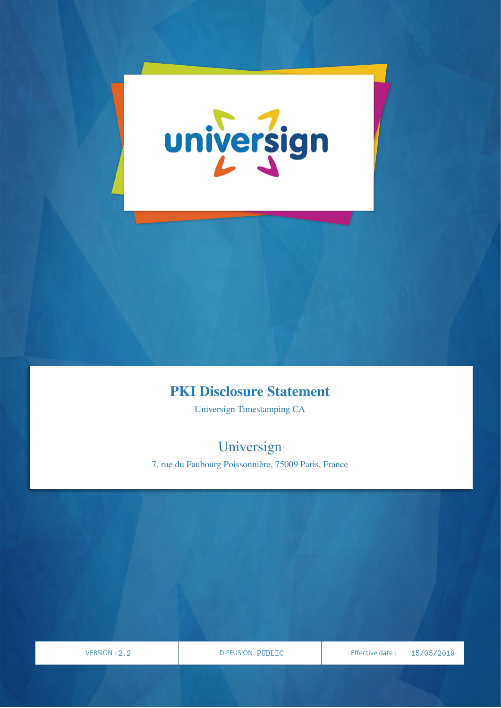

## PKI Disclosure Statement

Universign Timestamping CA

# Universign

7, rue du Faubourg Poissonnière, 75009 Paris, France

VERSION

PAGE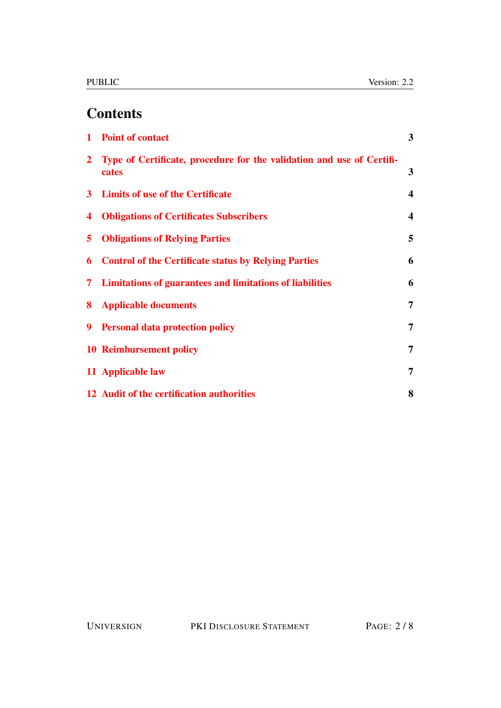# **Contents**

| $\mathbf{1}$   | <b>Point of contact</b>                                                        | $3^{\circ}$             |
|----------------|--------------------------------------------------------------------------------|-------------------------|
| $\overline{2}$ | Type of Certificate, procedure for the validation and use of Certifi-<br>cates | 3                       |
|                | 3 Limits of use of the Certificate                                             | $\overline{\mathbf{4}}$ |
| 4              | <b>Obligations of Certificates Subscribers</b>                                 | $\overline{\mathbf{4}}$ |
| 5.             | <b>Obligations of Relying Parties</b>                                          | 5                       |
| 6              | <b>Control of the Certificate status by Relying Parties</b>                    | 6                       |
| 7              | <b>Limitations of guarantees and limitations of liabilities</b>                | 6                       |
| 8              | <b>Applicable documents</b>                                                    | 7                       |
| 9              | <b>Personal data protection policy</b>                                         | $\overline{7}$          |
|                | <b>10 Reimbursement policy</b>                                                 | $\overline{7}$          |
|                | 11 Applicable law                                                              | 7                       |
|                | 12 Audit of the certification authorities                                      | 8                       |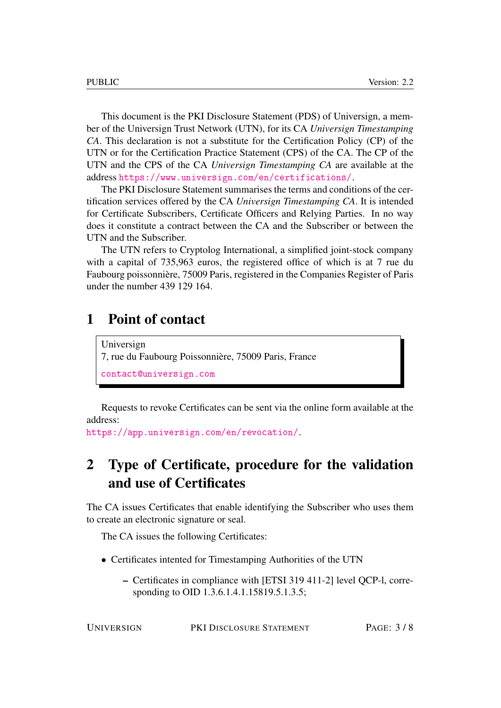This document is the PKI Disclosure Statement (PDS) of Universign, a member of the Universign Trust Network (UTN), for its CA *Universign Timestamping CA*. This declaration is not a substitute for the Certification Policy (CP) of the UTN or for the Certification Practice Statement (CPS) of the CA. The CP of the UTN and the CPS of the CA *Universign Timestamping CA* are available at the address <https://www.universign.com/en/certifications/>.

The PKI Disclosure Statement summarises the terms and conditions of the certification services offered by the CA *Universign Timestamping CA*. It is intended for Certificate Subscribers, Certificate Officers and Relying Parties. In no way does it constitute a contract between the CA and the Subscriber or between the UTN and the Subscriber.

The UTN refers to Cryptolog International, a simplified joint-stock company with a capital of 735,963 euros, the registered office of which is at 7 rue du Faubourg poissonnière, 75009 Paris, registered in the Companies Register of Paris under the number 439 129 164.

#### <span id="page-2-0"></span>1 Point of contact

Universign 7, rue du Faubourg Poissonnière, 75009 Paris, France <contact@universign.com>

Requests to revoke Certificates can be sent via the online form available at the address:

<https://app.universign.com/en/revocation/>.

## <span id="page-2-1"></span>2 Type of Certificate, procedure for the validation and use of Certificates

The CA issues Certificates that enable identifying the Subscriber who uses them to create an electronic signature or seal.

The CA issues the following Certificates:

- Certificates intented for Timestamping Authorities of the UTN
	- Certificates in compliance with [ETSI 319 411-2] level QCP-l, corresponding to OID 1.3.6.1.4.1.15819.5.1.3.5;

UNIVERSIGN PKI DISCLOSURE STATEMENT PAGE: 3 / 8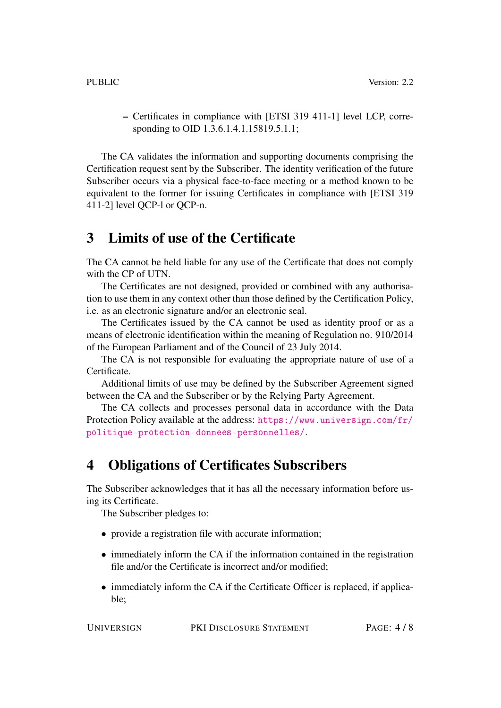– Certificates in compliance with [ETSI 319 411-1] level LCP, corresponding to OID 1.3.6.1.4.1.15819.5.1.1;

The CA validates the information and supporting documents comprising the Certification request sent by the Subscriber. The identity verification of the future Subscriber occurs via a physical face-to-face meeting or a method known to be equivalent to the former for issuing Certificates in compliance with [ETSI 319 411-2] level QCP-l or QCP-n.

#### <span id="page-3-0"></span>3 Limits of use of the Certificate

The CA cannot be held liable for any use of the Certificate that does not comply with the CP of UTN.

The Certificates are not designed, provided or combined with any authorisation to use them in any context other than those defined by the Certification Policy, i.e. as an electronic signature and/or an electronic seal.

The Certificates issued by the CA cannot be used as identity proof or as a means of electronic identification within the meaning of Regulation no. 910/2014 of the European Parliament and of the Council of 23 July 2014.

The CA is not responsible for evaluating the appropriate nature of use of a Certificate.

Additional limits of use may be defined by the Subscriber Agreement signed between the CA and the Subscriber or by the Relying Party Agreement.

The CA collects and processes personal data in accordance with the Data Protection Policy available at the address: [https://www.universign.com/fr/](https://www.universign.com/fr/politique-protection-donnees-personnelles/) [politique-protection-donnees-personnelles/](https://www.universign.com/fr/politique-protection-donnees-personnelles/).

#### <span id="page-3-1"></span>4 Obligations of Certificates Subscribers

The Subscriber acknowledges that it has all the necessary information before using its Certificate.

The Subscriber pledges to:

- provide a registration file with accurate information;
- immediately inform the CA if the information contained in the registration file and/or the Certificate is incorrect and/or modified;
- immediately inform the CA if the Certificate Officer is replaced, if applicable;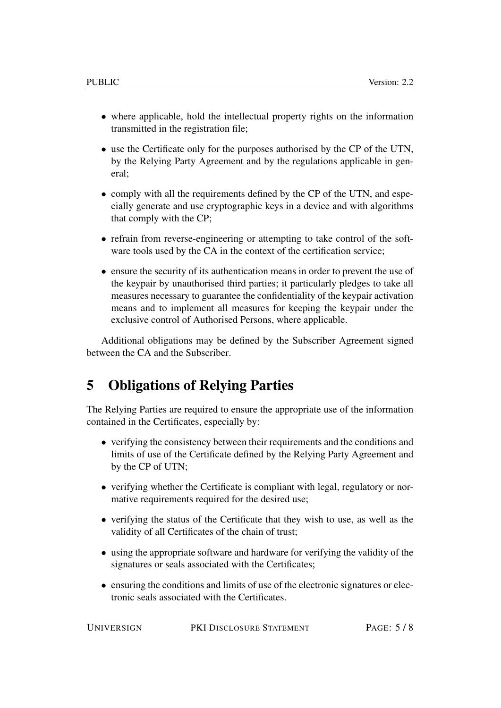- where applicable, hold the intellectual property rights on the information transmitted in the registration file;
- use the Certificate only for the purposes authorised by the CP of the UTN, by the Relying Party Agreement and by the regulations applicable in general;
- comply with all the requirements defined by the CP of the UTN, and especially generate and use cryptographic keys in a device and with algorithms that comply with the CP;
- refrain from reverse-engineering or attempting to take control of the software tools used by the CA in the context of the certification service;
- ensure the security of its authentication means in order to prevent the use of the keypair by unauthorised third parties; it particularly pledges to take all measures necessary to guarantee the confidentiality of the keypair activation means and to implement all measures for keeping the keypair under the exclusive control of Authorised Persons, where applicable.

Additional obligations may be defined by the Subscriber Agreement signed between the CA and the Subscriber.

### <span id="page-4-0"></span>5 Obligations of Relying Parties

The Relying Parties are required to ensure the appropriate use of the information contained in the Certificates, especially by:

- verifying the consistency between their requirements and the conditions and limits of use of the Certificate defined by the Relying Party Agreement and by the CP of UTN;
- verifying whether the Certificate is compliant with legal, regulatory or normative requirements required for the desired use;
- verifying the status of the Certificate that they wish to use, as well as the validity of all Certificates of the chain of trust;
- using the appropriate software and hardware for verifying the validity of the signatures or seals associated with the Certificates;
- ensuring the conditions and limits of use of the electronic signatures or electronic seals associated with the Certificates.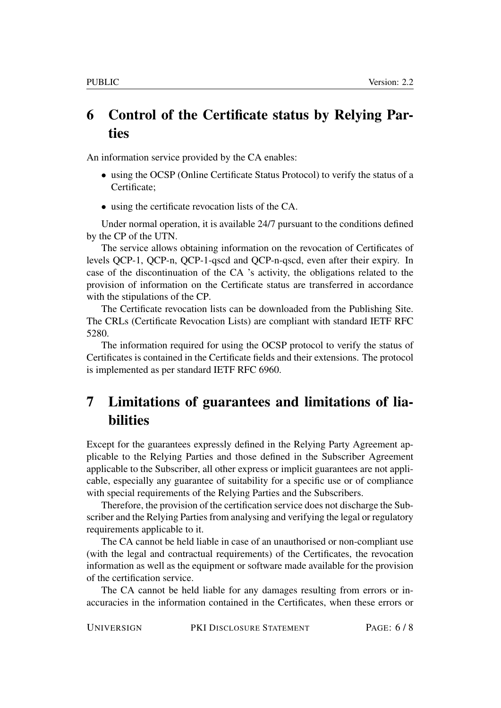## <span id="page-5-0"></span>6 Control of the Certificate status by Relying Parties

An information service provided by the CA enables:

- using the OCSP (Online Certificate Status Protocol) to verify the status of a Certificate;
- using the certificate revocation lists of the CA.

Under normal operation, it is available 24/7 pursuant to the conditions defined by the CP of the UTN.

The service allows obtaining information on the revocation of Certificates of levels QCP-1, QCP-n, QCP-1-qscd and QCP-n-qscd, even after their expiry. In case of the discontinuation of the CA 's activity, the obligations related to the provision of information on the Certificate status are transferred in accordance with the stipulations of the CP.

The Certificate revocation lists can be downloaded from the Publishing Site. The CRLs (Certificate Revocation Lists) are compliant with standard IETF RFC 5280.

The information required for using the OCSP protocol to verify the status of Certificates is contained in the Certificate fields and their extensions. The protocol is implemented as per standard IETF RFC 6960.

## <span id="page-5-1"></span>7 Limitations of guarantees and limitations of liabilities

Except for the guarantees expressly defined in the Relying Party Agreement applicable to the Relying Parties and those defined in the Subscriber Agreement applicable to the Subscriber, all other express or implicit guarantees are not applicable, especially any guarantee of suitability for a specific use or of compliance with special requirements of the Relying Parties and the Subscribers.

Therefore, the provision of the certification service does not discharge the Subscriber and the Relying Parties from analysing and verifying the legal or regulatory requirements applicable to it.

The CA cannot be held liable in case of an unauthorised or non-compliant use (with the legal and contractual requirements) of the Certificates, the revocation information as well as the equipment or software made available for the provision of the certification service.

The CA cannot be held liable for any damages resulting from errors or inaccuracies in the information contained in the Certificates, when these errors or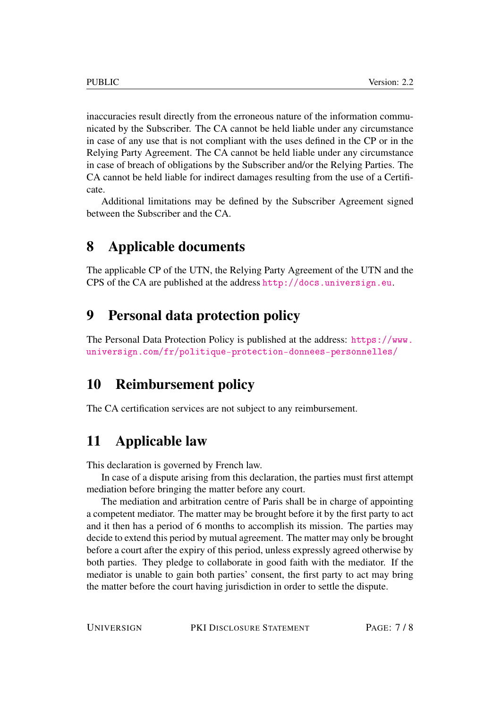inaccuracies result directly from the erroneous nature of the information communicated by the Subscriber. The CA cannot be held liable under any circumstance in case of any use that is not compliant with the uses defined in the CP or in the Relying Party Agreement. The CA cannot be held liable under any circumstance in case of breach of obligations by the Subscriber and/or the Relying Parties. The CA cannot be held liable for indirect damages resulting from the use of a Certificate.

Additional limitations may be defined by the Subscriber Agreement signed between the Subscriber and the CA.

### <span id="page-6-0"></span>8 Applicable documents

The applicable CP of the UTN, the Relying Party Agreement of the UTN and the CPS of the CA are published at the address <http://docs.universign.eu>.

#### <span id="page-6-1"></span>9 Personal data protection policy

The Personal Data Protection Policy is published at the address: [https://www.](https://www.universign.com/fr/politique-protection-donnees-personnelles/) [universign.com/fr/politique-protection-donnees-personnelles/](https://www.universign.com/fr/politique-protection-donnees-personnelles/)

#### <span id="page-6-2"></span>10 Reimbursement policy

The CA certification services are not subject to any reimbursement.

### <span id="page-6-3"></span>11 Applicable law

This declaration is governed by French law.

In case of a dispute arising from this declaration, the parties must first attempt mediation before bringing the matter before any court.

The mediation and arbitration centre of Paris shall be in charge of appointing a competent mediator. The matter may be brought before it by the first party to act and it then has a period of 6 months to accomplish its mission. The parties may decide to extend this period by mutual agreement. The matter may only be brought before a court after the expiry of this period, unless expressly agreed otherwise by both parties. They pledge to collaborate in good faith with the mediator. If the mediator is unable to gain both parties' consent, the first party to act may bring the matter before the court having jurisdiction in order to settle the dispute.

| PAGE: 7/8<br><b>UNIVERSIGN</b><br>PKI DISCLOSURE STATEMENT |
|------------------------------------------------------------|
|                                                            |